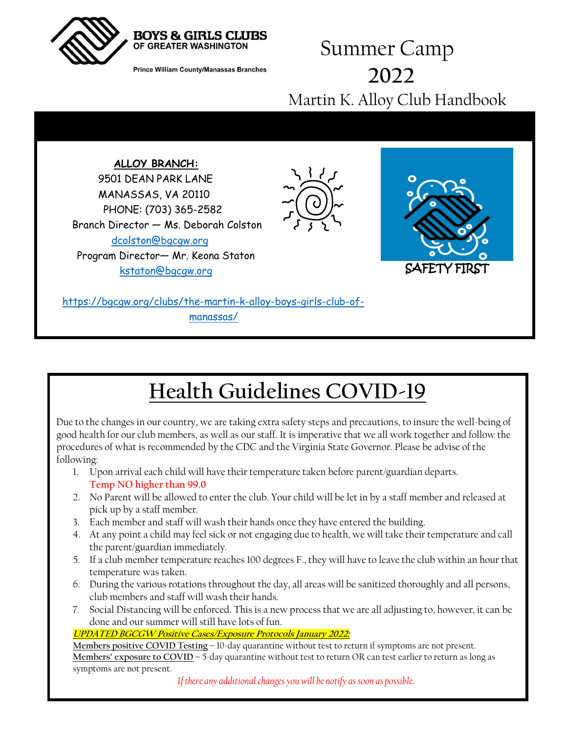

**Prince William County/Manassas Branches** 

### Summer Camp **2022** Martin K. Alloy Club Handbook



# **Health Guidelines COVID-19**

Due to the changes in our country, we are taking extra safety steps and precautions, to insure the well-being of good health for our club members, as well as our staff. It is imperative that we all work together and follow the procedures of what is recommended by the CDC and the Virginia State Governor. Please be advise of the following:

- 1. Upon arrival each child will have their temperature taken before parent/guardian departs. **Temp NO higher than 99.0**
- 2. No Parent will be allowed to enter the club. Your child will be let in by a staff member and released at pick up by a staff member.
- 3. Each member and staff will wash their hands once they have entered the building.
- 4. At any point a child may feel sick or not engaging due to health, we will take their temperature and call the parent/guardian immediately.
- 5. If a club member temperature reaches 100 degrees F., they will have to leave the club within an hour that temperature was taken.
- 6. During the various rotations throughout the day, all areas will be sanitized thoroughly and all persons, club members and staff will wash their hands.
- 7. Social Distancing will be enforced. This is a new process that we are all adjusting to, however, it can be done and our summer will still have lots of fun.

#### **UPDATED BGCGW Positive Cases/Exposure Protocols January 2022:**

**Members positive COVID Testing** – 10-day quarantine without test to return if symptoms are not present. **Members' exposure to COVID** – 5-day quarantine without test to return OR can test earlier to return as long as symptoms are not present.

*If there any additional changes you will be notify as soon as possible.*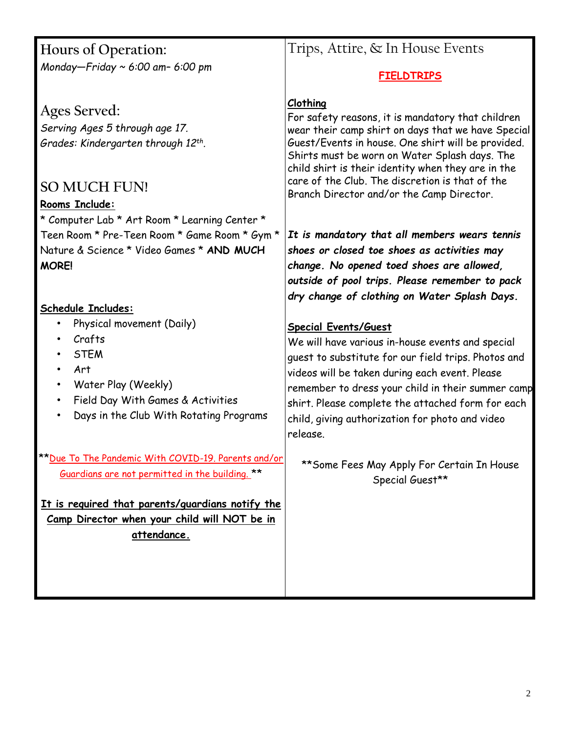| Hours of Operation:                                                                                                                                                                                                             | Trips, Attire, & In House Events                                                                                                                                                                                                                                                                                                                                                                                                  |
|---------------------------------------------------------------------------------------------------------------------------------------------------------------------------------------------------------------------------------|-----------------------------------------------------------------------------------------------------------------------------------------------------------------------------------------------------------------------------------------------------------------------------------------------------------------------------------------------------------------------------------------------------------------------------------|
| Monday-Friday ~ 6:00 am- 6:00 pm                                                                                                                                                                                                | <b>FIELDTRIPS</b>                                                                                                                                                                                                                                                                                                                                                                                                                 |
| Ages Served:<br>Serving Ages 5 through age 17.<br>Grades: Kindergarten through 12th.<br><b>SO MUCH FUN!</b><br>Rooms Include:<br>* Computer Lab * Art Room * Learning Center *<br>Teen Room * Pre-Teen Room * Game Room * Gym * | Clothing<br>For safety reasons, it is mandatory that children<br>wear their camp shirt on days that we have Special<br>Guest/Events in house. One shirt will be provided.<br>Shirts must be worn on Water Splash days. The<br>child shirt is their identity when they are in the<br>care of the Club. The discretion is that of the<br>Branch Director and/or the Camp Director.<br>It is mandatory that all members wears tennis |
| Nature & Science * Video Games * AND MUCH                                                                                                                                                                                       | shoes or closed toe shoes as activities may                                                                                                                                                                                                                                                                                                                                                                                       |
| <b>MORE!</b>                                                                                                                                                                                                                    | change. No opened toed shoes are allowed,<br>outside of pool trips. Please remember to pack<br>dry change of clothing on Water Splash Days.                                                                                                                                                                                                                                                                                       |
| <b>Schedule Includes:</b><br>Physical movement (Daily)<br>Crafts<br><b>STEM</b><br>Art<br>Water Play (Weekly)<br>$\bullet$<br>Field Day With Games & Activities<br>Days in the Club With Rotating Programs                      | <b>Special Events/Guest</b><br>We will have various in-house events and special<br>guest to substitute for our field trips. Photos and<br>videos will be taken during each event. Please<br>remember to dress your child in their summer camp<br>shirt. Please complete the attached form for each<br>child, giving authorization for photo and video<br>release.                                                                 |
| **Due To The Pandemic With COVID-19. Parents and/or<br>Guardians are not permitted in the building. **                                                                                                                          | ** Some Fees May Apply For Certain In House<br>Special Guest**                                                                                                                                                                                                                                                                                                                                                                    |
| It is required that parents/guardians notify the<br>Camp Director when your child will NOT be in<br>attendance.                                                                                                                 |                                                                                                                                                                                                                                                                                                                                                                                                                                   |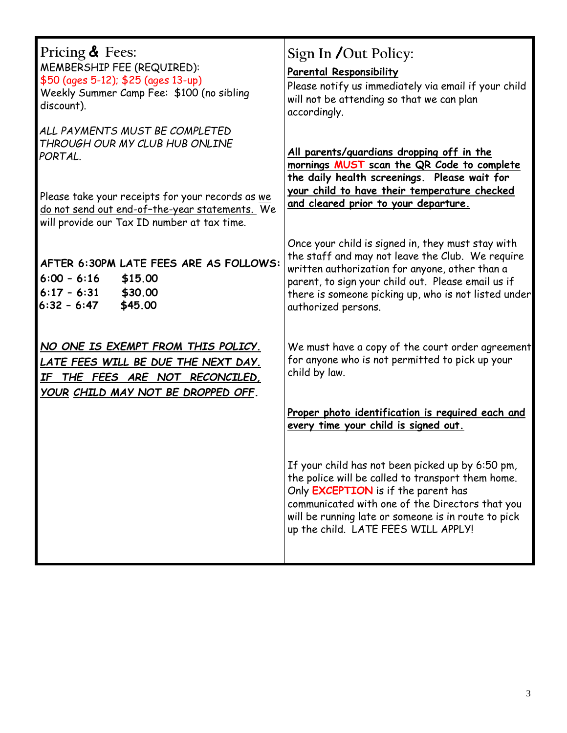| Pricing & Fees:<br>MEMBERSHIP FEE (REQUIRED):<br>\$50 (ages 5-12); \$25 (ages 13-up)<br>Weekly Summer Camp Fee: \$100 (no sibling<br>discount).                                   | Sign In /Out Policy:<br><b>Parental Responsibility</b><br>Please notify us immediately via email if your child<br>will not be attending so that we can plan<br>accordingly.                                                                                                                   |
|-----------------------------------------------------------------------------------------------------------------------------------------------------------------------------------|-----------------------------------------------------------------------------------------------------------------------------------------------------------------------------------------------------------------------------------------------------------------------------------------------|
| ALL PAYMENTS MUST BE COMPLETED<br>THROUGH OUR MY CLUB HUB ONLINE<br>PORTAL.<br>Please take your receipts for your records as we<br>do not send out end-of-the-year statements. We | All parents/guardians dropping off in the<br>mornings MUST scan the QR Code to complete<br>the daily health screenings. Please wait for<br>your child to have their temperature checked<br>and cleared prior to your departure.                                                               |
| will provide our Tax ID number at tax time.<br>AFTER 6:30PM LATE FEES ARE AS FOLLOWS:<br>$6:00 - 6:16$<br>\$15.00<br>$6:17 - 6:31$<br>\$30.00<br>\$45.00<br>$6:32 - 6:47$         | Once your child is signed in, they must stay with<br>the staff and may not leave the Club. We require<br>written authorization for anyone, other than a<br>parent, to sign your child out. Please email us if<br>there is someone picking up, who is not listed under<br>authorized persons.  |
| NO ONE IS EXEMPT FROM THIS POLICY.<br>LATE FEES WILL BE DUE THE NEXT DAY.<br>IF THE FEES ARE NOT RECONCILED,<br>YOUR CHILD MAY NOT BE DROPPED OFF.                                | We must have a copy of the court order agreement<br>for anyone who is not permitted to pick up your<br>child by law.                                                                                                                                                                          |
|                                                                                                                                                                                   | Proper photo identification is required each and<br>every time your child is signed out.                                                                                                                                                                                                      |
|                                                                                                                                                                                   | If your child has not been picked up by 6:50 pm,<br>the police will be called to transport them home.<br>Only EXCEPTION is if the parent has<br>communicated with one of the Directors that you<br>will be running late or someone is in route to pick<br>up the child. LATE FEES WILL APPLY! |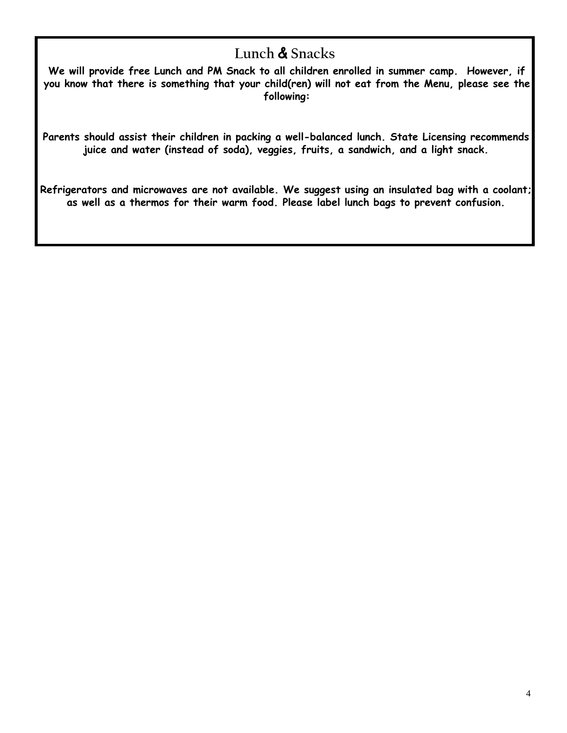### **Lunch & Snacks**

**We will provide free Lunch and PM Snack to all children enrolled in summer camp. However, if you know that there is something that your child(ren) will not eat from the Menu, please see the following:**

**Parents should assist their children in packing a well-balanced lunch. State Licensing recommends juice and water (instead of soda), veggies, fruits, a sandwich, and a light snack.** 

**Refrigerators and microwaves are not available. We suggest using an insulated bag with a coolant; as well as a thermos for their warm food. Please label lunch bags to prevent confusion.**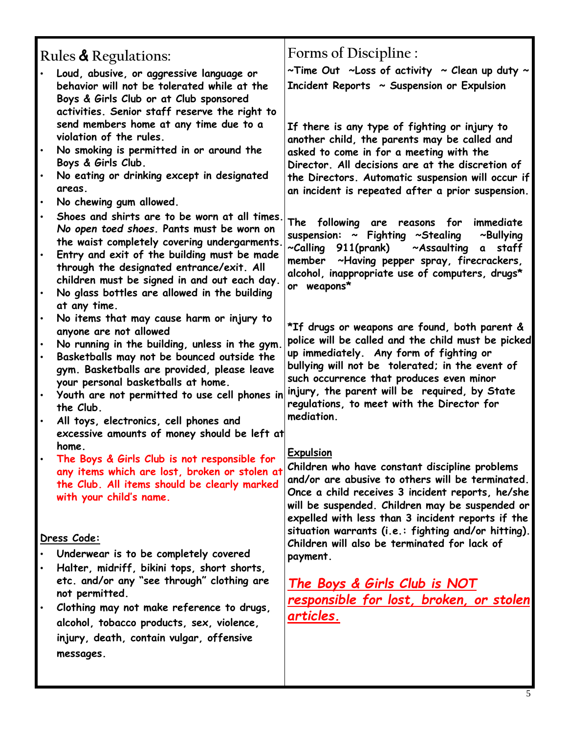| Rules & Regulations:                                                                                                                                                                                                                                                                   | Forms of Discipline :                                                                                                                                                                                                                                                                                                 |
|----------------------------------------------------------------------------------------------------------------------------------------------------------------------------------------------------------------------------------------------------------------------------------------|-----------------------------------------------------------------------------------------------------------------------------------------------------------------------------------------------------------------------------------------------------------------------------------------------------------------------|
| Loud, abusive, or aggressive language or<br>behavior will not be tolerated while at the<br>Boys & Girls Club or at Club sponsored<br>activities. Senior staff reserve the right to                                                                                                     | ~Time Out ~Loss of activity ~ Clean up duty ~<br>Incident Reports ~ Suspension or Expulsion                                                                                                                                                                                                                           |
| send members home at any time due to a<br>violation of the rules.<br>No smoking is permitted in or around the                                                                                                                                                                          | If there is any type of fighting or injury to<br>another child, the parents may be called and<br>asked to come in for a meeting with the                                                                                                                                                                              |
| Boys & Girls Club.<br>No eating or drinking except in designated<br>areas.<br>No chewing gum allowed.                                                                                                                                                                                  | Director. All decisions are at the discretion of<br>the Directors. Automatic suspension will occur if<br>an incident is repeated after a prior suspension.                                                                                                                                                            |
| Shoes and shirts are to be worn at all times.<br>No open toed shoes. Pants must be worn on<br>the waist completely covering undergarments.<br>Entry and exit of the building must be made<br>through the designated entrance/exit. All<br>children must be signed in and out each day. | The following are reasons for<br>immediate<br>suspension: ~ Fighting ~Stealing<br>$\sim$ Bullying<br>~Calling 911(prank) ~Assaulting a staff<br>member ~Having pepper spray, firecrackers,<br>alcohol, inappropriate use of computers, drugs*                                                                         |
| No glass bottles are allowed in the building<br>at any time.                                                                                                                                                                                                                           | or weapons*                                                                                                                                                                                                                                                                                                           |
| No items that may cause harm or injury to<br>anyone are not allowed<br>No running in the building, unless in the gym.                                                                                                                                                                  | *If drugs or weapons are found, both parent &<br>police will be called and the child must be picked                                                                                                                                                                                                                   |
| Basketballs may not be bounced outside the<br>gym. Basketballs are provided, please leave<br>your personal basketballs at home.                                                                                                                                                        | up immediately. Any form of fighting or<br>bullying will not be tolerated; in the event of<br>such occurrence that produces even minor<br>injury, the parent will be required, by State                                                                                                                               |
| Youth are not permitted to use cell phones in<br>the Club.<br>All toys, electronics, cell phones and                                                                                                                                                                                   | regulations, to meet with the Director for<br>mediation.                                                                                                                                                                                                                                                              |
| excessive amounts of money should be left at<br>home.                                                                                                                                                                                                                                  | <b>Expulsion</b>                                                                                                                                                                                                                                                                                                      |
| The Boys & Girls Club is not responsible for<br>any items which are lost, broken or stolen at<br>the Club. All items should be clearly marked<br>with your child's name.                                                                                                               | Children who have constant discipline problems<br>and/or are abusive to others will be terminated.<br>Once a child receives 3 incident reports, he/she<br>will be suspended. Children may be suspended or<br>expelled with less than 3 incident reports if the<br>situation warrants (i.e.: fighting and/or hitting). |
| Dress Code:                                                                                                                                                                                                                                                                            | Children will also be terminated for lack of                                                                                                                                                                                                                                                                          |
| Underwear is to be completely covered<br>Halter, midriff, bikini tops, short shorts,                                                                                                                                                                                                   | payment.                                                                                                                                                                                                                                                                                                              |
| etc. and/or any "see through" clothing are<br>not permitted.                                                                                                                                                                                                                           | <u>The Boys &amp; Girls Club is NOT</u>                                                                                                                                                                                                                                                                               |
| Clothing may not make reference to drugs,<br>$\bullet$                                                                                                                                                                                                                                 | responsible for lost, broken, or stolen                                                                                                                                                                                                                                                                               |
| alcohol, tobacco products, sex, violence,                                                                                                                                                                                                                                              | articles.                                                                                                                                                                                                                                                                                                             |
| injury, death, contain vulgar, offensive<br>messages.                                                                                                                                                                                                                                  |                                                                                                                                                                                                                                                                                                                       |
|                                                                                                                                                                                                                                                                                        |                                                                                                                                                                                                                                                                                                                       |